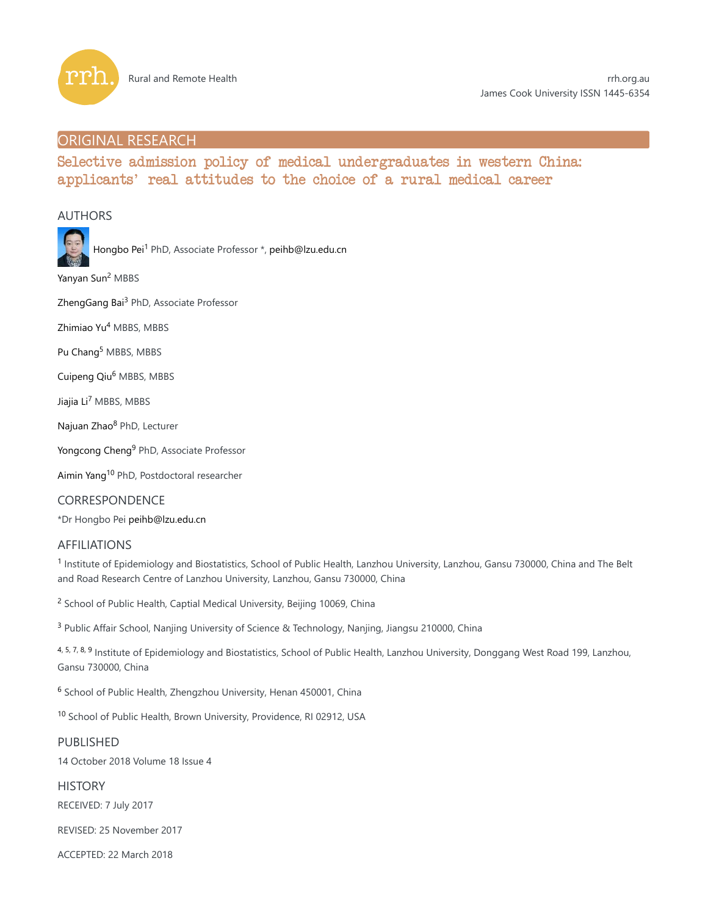

## ORIGINAL RESEARCH

# Selective admission policy of medical undergraduates in western China: applicants' real attitudes to the choice of a rural medical career

## AUTHORS



Hongbo Pei<sup>1</sup> PhD, Associate Professor \*, peihb@lzu.edu.cn

Yanyan Sun<sup>2</sup> MBBS

ZhengGang Bai<sup>3</sup> PhD, Associate Professor

Zhimiao Yu<sup>4</sup> MBBS, MBBS

Pu Chang<sup>5</sup> MBBS, MBBS

Cuipeng Qiu<sup>6</sup> MBBS, MBBS

Jiajia Li<sup>7</sup> MBBS, MBBS

Najuan Zhao<sup>8</sup> PhD, Lecturer

Yongcong Cheng<sup>9</sup> PhD, Associate Professor

Aimin Yang<sup>10</sup> PhD, Postdoctoral researcher

CORRESPONDENCE

\*Dr Hongbo Pei peihb@lzu.edu.cn

## AFFILIATIONS

<sup>1</sup> Institute of Epidemiology and Biostatistics, School of Public Health, Lanzhou University, Lanzhou, Gansu 730000, China and The Belt and Road Research Centre of Lanzhou University, Lanzhou, Gansu 730000, China

<sup>2</sup> School of Public Health, Captial Medical University, Beijing 10069, China

<sup>3</sup> Public Affair School, Nanjing University of Science & Technology, Nanjing, Jiangsu 210000, China

4, 5, 7, 8, 9 Institute of Epidemiology and Biostatistics, School of Public Health, Lanzhou University, Donggang West Road 199, Lanzhou, Gansu 730000, China

<sup>6</sup> School of Public Health, Zhengzhou University, Henan 450001, China

<sup>10</sup> School of Public Health, Brown University, Providence, RI 02912, USA

### PUBLISHED

14 October 2018 Volume 18 Issue 4

**HISTORY** 

RECEIVED: 7 July 2017

REVISED: 25 November 2017

ACCEPTED: 22 March 2018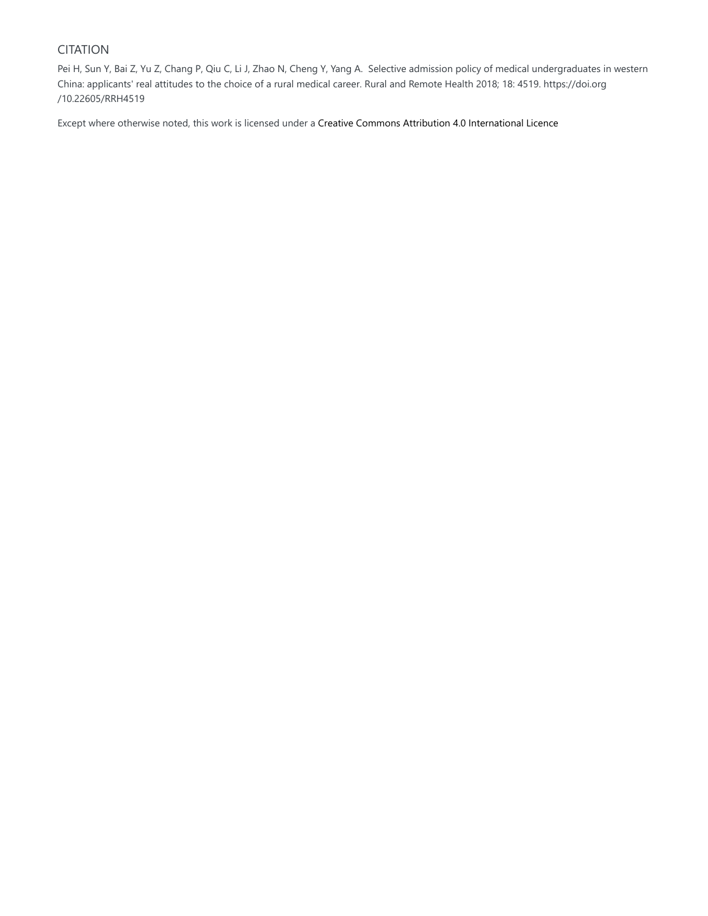## CITATION

Pei H, Sun Y, Bai Z, Yu Z, Chang P, Qiu C, Li J, Zhao N, Cheng Y, Yang A. Selective admission policy of medical undergraduates in western China: applicants' real attitudes to the choice of a rural medical career. Rural and Remote Health 2018; 18: 4519. https://doi.org /10.22605/RRH4519

Except where otherwise noted, this work is licensed under a Creative Commons Attribution 4.0 International Licence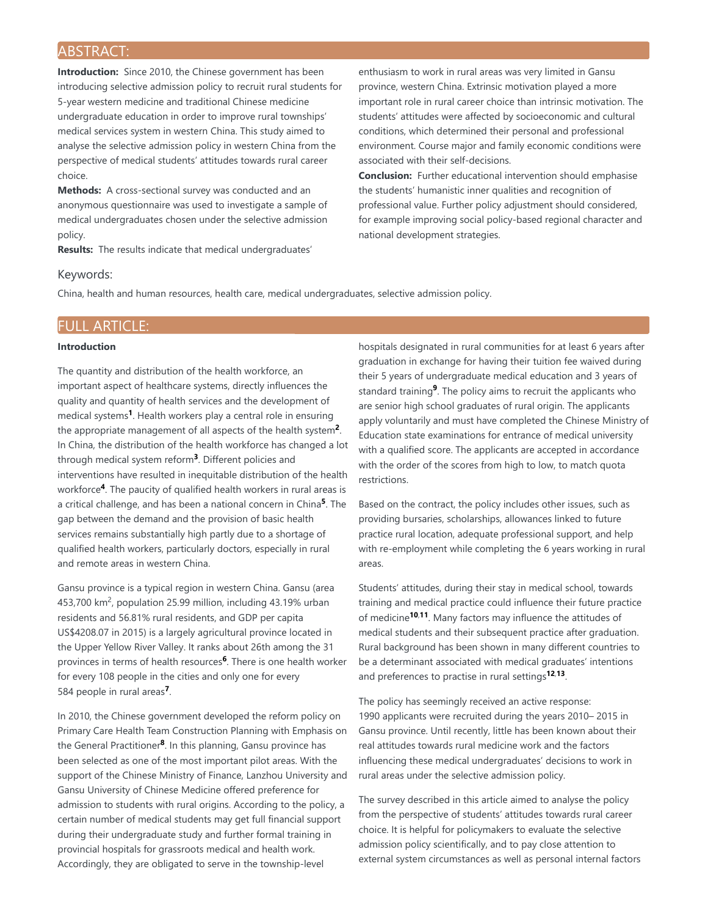## ABSTRACT:

**Introduction:** Since 2010, the Chinese government has been introducing selective admission policy to recruit rural students for 5-year western medicine and traditional Chinese medicine undergraduate education in order to improve rural townships' medical services system in western China. This study aimed to analyse the selective admission policy in western China from the perspective of medical students' attitudes towards rural career choice.

**Methods:** A cross-sectional survey was conducted and an anonymous questionnaire was used to investigate a sample of medical undergraduates chosen under the selective admission policy.

**Results:** The results indicate that medical undergraduates'

enthusiasm to work in rural areas was very limited in Gansu province, western China. Extrinsic motivation played a more important role in rural career choice than intrinsic motivation. The students' attitudes were affected by socioeconomic and cultural conditions, which determined their personal and professional environment. Course major and family economic conditions were associated with their self-decisions.

**Conclusion:** Further educational intervention should emphasise the students' humanistic inner qualities and recognition of professional value. Further policy adjustment should considered, for example improving social policy-based regional character and national development strategies.

### Keywords:

China, health and human resources, health care, medical undergraduates, selective admission policy.

## FULL ARTICLE:

### **Introduction**

The quantity and distribution of the health workforce, an important aspect of healthcare systems, directly influences the quality and quantity of health services and the development of medical systems<sup>1</sup>. Health workers play a central role in ensuring the appropriate management of all aspects of the health system<sup>2</sup>. In China, the distribution of the health workforce has changed a lot through medical system reform<sup>3</sup>. Different policies and interventions have resulted in inequitable distribution of the health workforce<sup>4</sup>. The paucity of qualified health workers in rural areas is a critical challenge, and has been a national concern in China<sup>5</sup>. The gap between the demand and the provision of basic health services remains substantially high partly due to a shortage of qualified health workers, particularly doctors, especially in rural and remote areas in western China.

Gansu province is a typical region in western China. Gansu (area 453,700 km<sup>2</sup>, population 25.99 million, including 43.19% urban residents and 56.81% rural residents, and GDP per capita US\$4208.07 in 2015) is a largely agricultural province located in the Upper Yellow River Valley. It ranks about 26th among the 31 provinces in terms of health resources<sup>6</sup>. There is one health worker for every 108 people in the cities and only one for every 584 people in rural areas<sup>7</sup>.

In 2010, the Chinese government developed the reform policy on Primary Care Health Team Construction Planning with Emphasis on the General Practitioner<sup>8</sup>. In this planning, Gansu province has been selected as one of the most important pilot areas. With the support of the Chinese Ministry of Finance, Lanzhou University and Gansu University of Chinese Medicine offered preference for admission to students with rural origins. According to the policy, a certain number of medical students may get full financial support during their undergraduate study and further formal training in provincial hospitals for grassroots medical and health work. Accordingly, they are obligated to serve in the township-level

hospitals designated in rural communities for at least 6 years after graduation in exchange for having their tuition fee waived during their 5 years of undergraduate medical education and 3 years of standard training<sup>9</sup>. The policy aims to recruit the applicants who are senior high school graduates of rural origin. The applicants apply voluntarily and must have completed the Chinese Ministry of Education state examinations for entrance of medical university with a qualified score. The applicants are accepted in accordance with the order of the scores from high to low, to match quota restrictions.

Based on the contract, the policy includes other issues, such as providing bursaries, scholarships, allowances linked to future practice rural location, adequate professional support, and help with re-employment while completing the 6 years working in rural areas.

Students' attitudes, during their stay in medical school, towards training and medical practice could influence their future practice of medicine<sup>10,11</sup>. Many factors may influence the attitudes of medical students and their subsequent practice after graduation. Rural background has been shown in many different countries to be a determinant associated with medical graduates' intentions and preferences to practise in rural settings<sup>12,13</sup>.

The policy has seemingly received an active response: 1990 applicants were recruited during the years 2010– 2015 in Gansu province. Until recently, little has been known about their real attitudes towards rural medicine work and the factors influencing these medical undergraduates' decisions to work in rural areas under the selective admission policy.

The survey described in this article aimed to analyse the policy from the perspective of students' attitudes towards rural career choice. It is helpful for policymakers to evaluate the selective admission policy scientifically, and to pay close attention to external system circumstances as well as personal internal factors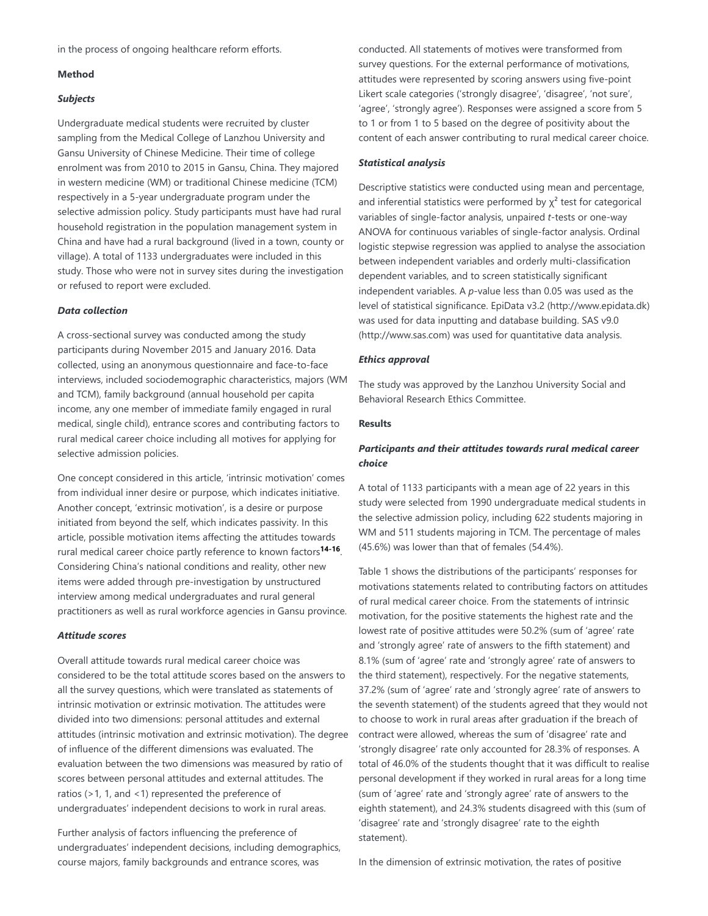in the process of ongoing healthcare reform efforts.

### **Method**

### *Subjects*

Undergraduate medical students were recruited by cluster sampling from the Medical College of Lanzhou University and Gansu University of Chinese Medicine. Their time of college enrolment was from 2010 to 2015 in Gansu, China. They majored in western medicine (WM) or traditional Chinese medicine (TCM) respectively in a 5-year undergraduate program under the selective admission policy. Study participants must have had rural household registration in the population management system in China and have had a rural background (lived in a town, county or village). A total of 1133 undergraduates were included in this study. Those who were not in survey sites during the investigation or refused to report were excluded.

### *Data collection*

A cross-sectional survey was conducted among the study participants during November 2015 and January 2016. Data collected, using an anonymous questionnaire and face-to-face interviews, included sociodemographic characteristics, majors (WM and TCM), family background (annual household per capita income, any one member of immediate family engaged in rural medical, single child), entrance scores and contributing factors to rural medical career choice including all motives for applying for selective admission policies.

One concept considered in this article, 'intrinsic motivation' comes from individual inner desire or purpose, which indicates initiative. Another concept, 'extrinsic motivation', is a desire or purpose initiated from beyond the self, which indicates passivity. In this article, possible motivation items affecting the attitudes towards rural medical career choice partly reference to known factors<sup>14-16</sup>. Considering China's national conditions and reality, other new items were added through pre-investigation by unstructured interview among medical undergraduates and rural general practitioners as well as rural workforce agencies in Gansu province.

### *Attitude scores*

Overall attitude towards rural medical career choice was considered to be the total attitude scores based on the answers to all the survey questions, which were translated as statements of intrinsic motivation or extrinsic motivation. The attitudes were divided into two dimensions: personal attitudes and external attitudes (intrinsic motivation and extrinsic motivation). The degree of influence of the different dimensions was evaluated. The evaluation between the two dimensions was measured by ratio of scores between personal attitudes and external attitudes. The ratios (>1, 1, and <1) represented the preference of undergraduates' independent decisions to work in rural areas.

Further analysis of factors influencing the preference of undergraduates' independent decisions, including demographics, course majors, family backgrounds and entrance scores, was

conducted. All statements of motives were transformed from survey questions. For the external performance of motivations, attitudes were represented by scoring answers using five-point Likert scale categories ('strongly disagree', 'disagree', 'not sure', 'agree', 'strongly agree'). Responses were assigned a score from 5 to 1 or from 1 to 5 based on the degree of positivity about the content of each answer contributing to rural medical career choice.

### *Statistical analysis*

Descriptive statistics were conducted using mean and percentage, and inferential statistics were performed by  $\chi^2$  test for categorical variables of single-factor analysis, unpaired *t*-tests or one-way ANOVA for continuous variables of single-factor analysis. Ordinal logistic stepwise regression was applied to analyse the association between independent variables and orderly multi-classification dependent variables, and to screen statistically significant independent variables. A *p*-value less than 0.05 was used as the level of statistical significance. EpiData v3.2 (http://www.epidata.dk) was used for data inputting and database building. SAS v9.0 (http://www.sas.com) was used for quantitative data analysis.

### *Ethics approval*

The study was approved by the Lanzhou University Social and Behavioral Research Ethics Committee.

#### **Results**

## *Participants and their attitudes towards rural medical career choice*

A total of 1133 participants with a mean age of 22 years in this study were selected from 1990 undergraduate medical students in the selective admission policy, including 622 students majoring in WM and 511 students majoring in TCM. The percentage of males (45.6%) was lower than that of females (54.4%).

Table 1 shows the distributions of the participants' responses for motivations statements related to contributing factors on attitudes of rural medical career choice. From the statements of intrinsic motivation, for the positive statements the highest rate and the lowest rate of positive attitudes were 50.2% (sum of 'agree' rate and 'strongly agree' rate of answers to the fifth statement) and 8.1% (sum of 'agree' rate and 'strongly agree' rate of answers to the third statement), respectively. For the negative statements, 37.2% (sum of 'agree' rate and 'strongly agree' rate of answers to the seventh statement) of the students agreed that they would not to choose to work in rural areas after graduation if the breach of contract were allowed, whereas the sum of 'disagree' rate and 'strongly disagree' rate only accounted for 28.3% of responses. A total of 46.0% of the students thought that it was difficult to realise personal development if they worked in rural areas for a long time (sum of 'agree' rate and 'strongly agree' rate of answers to the eighth statement), and 24.3% students disagreed with this (sum of 'disagree' rate and 'strongly disagree' rate to the eighth statement).

In the dimension of extrinsic motivation, the rates of positive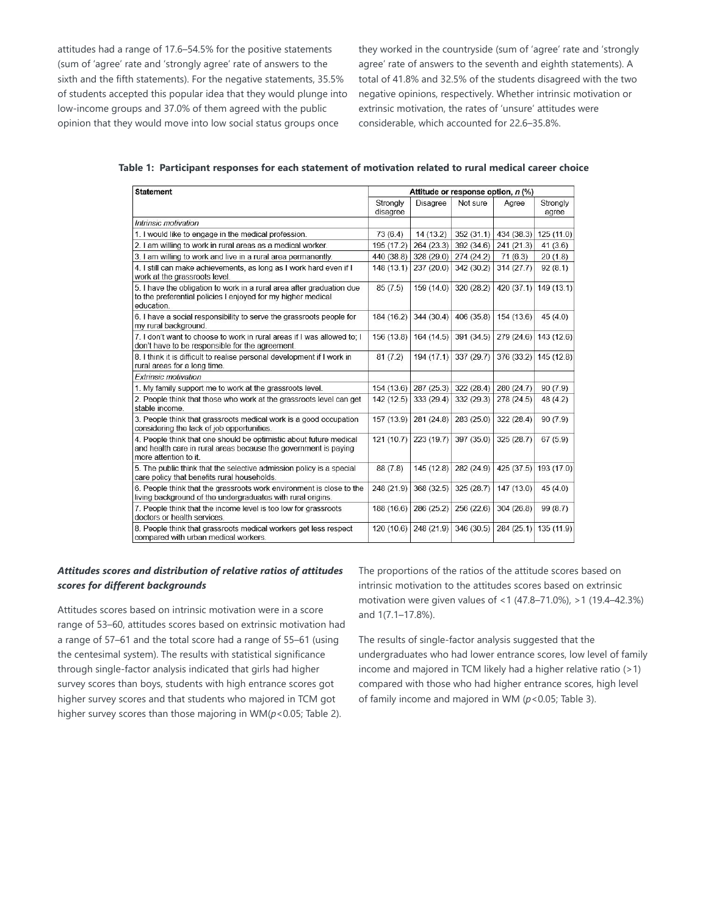attitudes had a range of 17.6–54.5% for the positive statements (sum of 'agree' rate and 'strongly agree' rate of answers to the sixth and the fifth statements). For the negative statements, 35.5% of students accepted this popular idea that they would plunge into low-income groups and 37.0% of them agreed with the public opinion that they would move into low social status groups once

they worked in the countryside (sum of 'agree' rate and 'strongly agree' rate of answers to the seventh and eighth statements). A total of 41.8% and 32.5% of the students disagreed with the two negative opinions, respectively. Whether intrinsic motivation or extrinsic motivation, the rates of 'unsure' attitudes were considerable, which accounted for 22.6–35.8%.

**Table 1: Participant responses for each statement of motivation related to rural medical career choice**

| <b>Statement</b>                                                                                                                                               | Attitude or response option, n (%) |                 |            |            |                   |
|----------------------------------------------------------------------------------------------------------------------------------------------------------------|------------------------------------|-----------------|------------|------------|-------------------|
|                                                                                                                                                                | Strongly<br>disagree               | <b>Disagree</b> | Not sure   | Agree      | Strongly<br>agree |
| Intrinsic motivation                                                                                                                                           |                                    |                 |            |            |                   |
| 1. I would like to engage in the medical profession.                                                                                                           | 73(6.4)                            | 14(13.2)        | 352(31.1)  | 434 (38.3) | 125(11.0)         |
| 2. I am willing to work in rural areas as a medical worker.                                                                                                    | 195 (17.2)                         | 264(23.3)       | 392 (34.6) | 241 (21.3) | 41(3.6)           |
| 3. I am willing to work and live in a rural area permanently.                                                                                                  | 440 (38.8)                         | 328 (29.0)      | 274 (24.2) | 71(6.3)    | 20(1.8)           |
| 4. I still can make achievements, as long as I work hard even if I<br>work at the grassroots level.                                                            | 148(13.1)                          | 237(20.0)       | 342 (30.2) | 314(27.7)  | 92(8.1)           |
| 5. I have the obligation to work in a rural area after graduation due<br>to the preferential policies I enjoyed for my higher medical<br>education.            | 85(7.5)                            | 159 (14.0)      | 320 (28.2) | 420 (37.1) | 149(13.1)         |
| 6. I have a social responsibility to serve the grassroots people for<br>my rural background.                                                                   | 184 (16.2)                         | 344 (30.4)      | 406 (35.8) | 154(13.6)  | 45(4.0)           |
| 7. I don't want to choose to work in rural areas if I was allowed to; I<br>don't have to be responsible for the agreement.                                     | 156 (13.8)                         | 164 (14.5)      | 391 (34.5) | 279 (24.6) | 143 (12.6)        |
| 8. I think it is difficult to realise personal development if I work in<br>rural areas for a long time.                                                        | 81(7.2)                            | 194(17.1)       | 337 (29.7) | 376 (33.2) | 145(12.8)         |
| <b>Extrinsic motivation</b>                                                                                                                                    |                                    |                 |            |            |                   |
| 1. My family support me to work at the grassroots level.                                                                                                       | 154(13.6)                          | 287(25.3)       | 322(28.4)  | 280 (24.7) | 90(7.9)           |
| 2. People think that those who work at the grassroots level can get<br>stable income.                                                                          | 142 (12.5)                         | 333 (29.4)      | 332 (29.3) | 278 (24.5) | 48 (4.2)          |
| 3. People think that grassroots medical work is a good occupation<br>considering the lack of job opportunities.                                                | 157 (13.9)                         | 281 (24.8)      | 283 (25.0) | 322 (28.4) | 90(7.9)           |
| 4. People think that one should be optimistic about future medical<br>and health care in rural areas because the government is paying<br>more attention to it. | 121(10.7)                          | 223 (19.7)      | 397 (35.0) | 325 (28.7) | 67(5.9)           |
| 5. The public think that the selective admission policy is a special<br>care policy that benefits rural households.                                            | 88 (7.8)                           | 145(12.8)       | 282 (24.9) | 425 (37.5) | 193 (17.0)        |
| 6. People think that the grassroots work environment is close to the<br>living background of the undergraduates with rural origins.                            | 248 (21.9)                         | 368 (32.5)      | 325 (28.7) | 147(13.0)  | 45(4.0)           |
| 7. People think that the income level is too low for grassroots<br>doctors or health services.                                                                 | 188 (16.6)                         | 286 (25.2)      | 256 (22.6) | 304 (26.8) | 99 (8.7)          |
| 8. People think that grassroots medical workers get less respect<br>compared with urban medical workers.                                                       | 120 (10.6)                         | 248 (21.9)      | 346 (30.5) | 284 (25.1) | 135 (11.9)        |

## *Attitudes scores and distribution of relative ratios of attitudes scores for different backgrounds*

Attitudes scores based on intrinsic motivation were in a score range of 53–60, attitudes scores based on extrinsic motivation had a range of 57–61 and the total score had a range of 55–61 (using the centesimal system). The results with statistical significance through single-factor analysis indicated that girls had higher survey scores than boys, students with high entrance scores got higher survey scores and that students who majored in TCM got higher survey scores than those majoring in WM(*p*<0.05; Table 2).

The proportions of the ratios of the attitude scores based on intrinsic motivation to the attitudes scores based on extrinsic motivation were given values of <1 (47.8–71.0%), >1 (19.4–42.3%) and 1(7.1–17.8%).

The results of single-factor analysis suggested that the undergraduates who had lower entrance scores, low level of family income and majored in TCM likely had a higher relative ratio (>1) compared with those who had higher entrance scores, high level of family income and majored in WM (*p*<0.05; Table 3).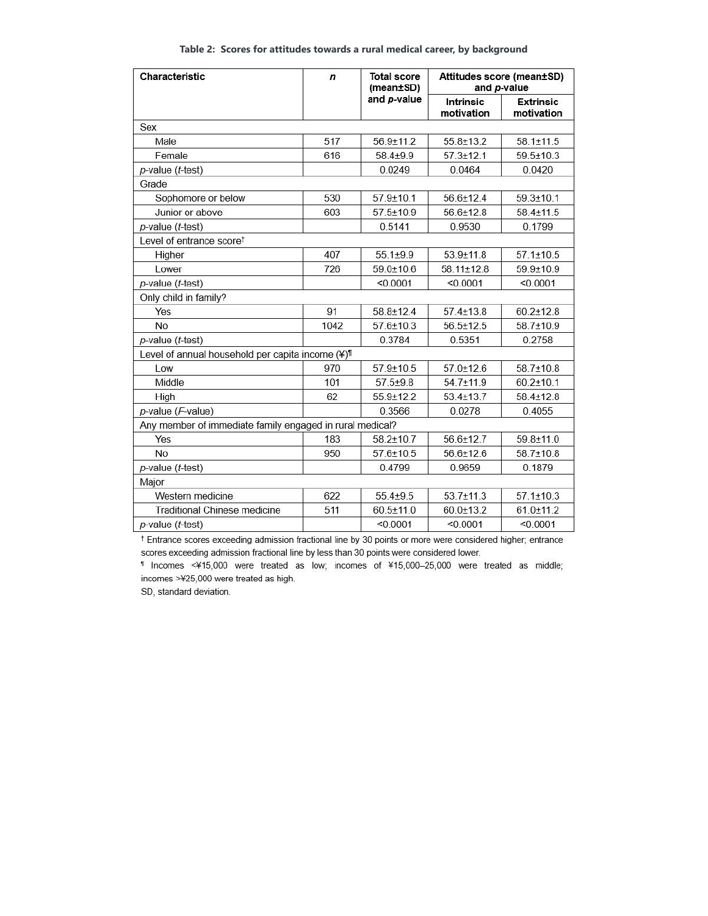| Table 2: Scores for attitudes towards a rural medical career, by background |  |  |  |
|-----------------------------------------------------------------------------|--|--|--|
|-----------------------------------------------------------------------------|--|--|--|

| Characteristic                                           | $\boldsymbol{n}$ | <b>Total score</b><br>(mean±SD) | Attitudes score (mean±SD)<br>and p-value |                                |  |  |
|----------------------------------------------------------|------------------|---------------------------------|------------------------------------------|--------------------------------|--|--|
|                                                          | and p-value      |                                 | <b>Intrinsic</b><br>motivation           | <b>Extrinsic</b><br>motivation |  |  |
| Sex                                                      |                  |                                 |                                          |                                |  |  |
| Male                                                     | 517              | 56.9±11.2                       | $55.8 \pm 13.2$                          | $58.1 \pm 11.5$                |  |  |
| Female                                                   | 616              | $58.4 + 9.9$                    | $57.3 + 12.1$                            | $59.5 \pm 10.3$                |  |  |
| p-value (t-test)                                         |                  | 0.0249                          | 0.0464                                   | 0.0420                         |  |  |
| Grade                                                    |                  |                                 |                                          |                                |  |  |
| Sophomore or below                                       | 530              | $57.9 \pm 10.1$                 | $56.6 \pm 12.4$                          | $59.3 \pm 10.1$                |  |  |
| Junior or above                                          | 603              | $57.5 \pm 10.9$                 | $56.6 + 12.8$                            | $58.4 \pm 11.5$                |  |  |
| p-value (t-test)                                         |                  | 0.5141                          | 0.9530                                   | 0.1799                         |  |  |
| Level of entrance score <sup>t</sup>                     |                  |                                 |                                          |                                |  |  |
| Higher                                                   | 407              | $55.1 + 9.9$                    | $53.9 \pm 11.8$                          | $57.1 \pm 10.5$                |  |  |
| Lower                                                    | 726              | $59.0 + 10.6$                   | $58.11 \pm 12.8$                         | $59.9 \pm 10.9$                |  |  |
| p-value (t-test)                                         |                  | < 0.0001                        | < 0.0001                                 | < 0.0001                       |  |  |
| Only child in family?                                    |                  |                                 |                                          |                                |  |  |
| Yes                                                      | 91               | $58.8 \pm 12.4$                 | $57.4 \pm 13.8$                          | $60.2 + 12.8$                  |  |  |
| <b>No</b>                                                | 1042             | $57.6 \pm 10.3$                 | $56.5 \pm 12.5$                          | 58.7±10.9                      |  |  |
| p-value (t-test)                                         |                  | 0.3784                          | 0.5351                                   | 0.2758                         |  |  |
| Level of annual household per capita income (¥)          |                  |                                 |                                          |                                |  |  |
| Low                                                      | 970              | $57.9 + 10.5$                   | $57.0 + 12.6$                            | $58.7 \pm 10.8$                |  |  |
| Middle                                                   | 101              | $57.5 + 9.8$                    | 54.7±11.9                                | $60.2 \pm 10.1$                |  |  |
| High                                                     | 62               | $55.9 + 12.2$                   | $53.4 + 13.7$                            | $58.4 \pm 12.8$                |  |  |
| p-value (F-value)                                        |                  | 0.3566                          | 0.0278                                   | 0.4055                         |  |  |
| Any member of immediate family engaged in rural medical? |                  |                                 |                                          |                                |  |  |
| Yes                                                      | 183              | $58.2 + 10.7$                   | 56.6±12.7                                | 59.8±11.0                      |  |  |
| <b>No</b>                                                | 950              | $57.6 \pm 10.5$                 | 56.6±12.6                                | $58.7 \pm 10.8$                |  |  |
| p-value (t-test)                                         |                  | 0.4799                          | 0.9659                                   | 0.1879                         |  |  |
| Major                                                    |                  |                                 |                                          |                                |  |  |
| Western medicine                                         | 622              | $55.4 + 9.5$                    | $53.7 \pm 11.3$                          | $57.1 \pm 10.3$                |  |  |
| <b>Traditional Chinese medicine</b>                      | 511              | $60.5 \pm 11.0$                 | $60.0 \pm 13.2$                          | $61.0 \pm 11.2$                |  |  |
| p-value (t-test)                                         |                  | < 0.0001                        | < 0.0001                                 | < 0.0001                       |  |  |

<sup>†</sup> Entrance scores exceeding admission fractional line by 30 points or more were considered higher; entrance scores exceeding admission fractional line by less than 30 points were considered lower.

1 Incomes <¥15,000 were treated as low; incomes of ¥15,000-25,000 were treated as middle; incomes >¥25,000 were treated as high.

SD, standard deviation.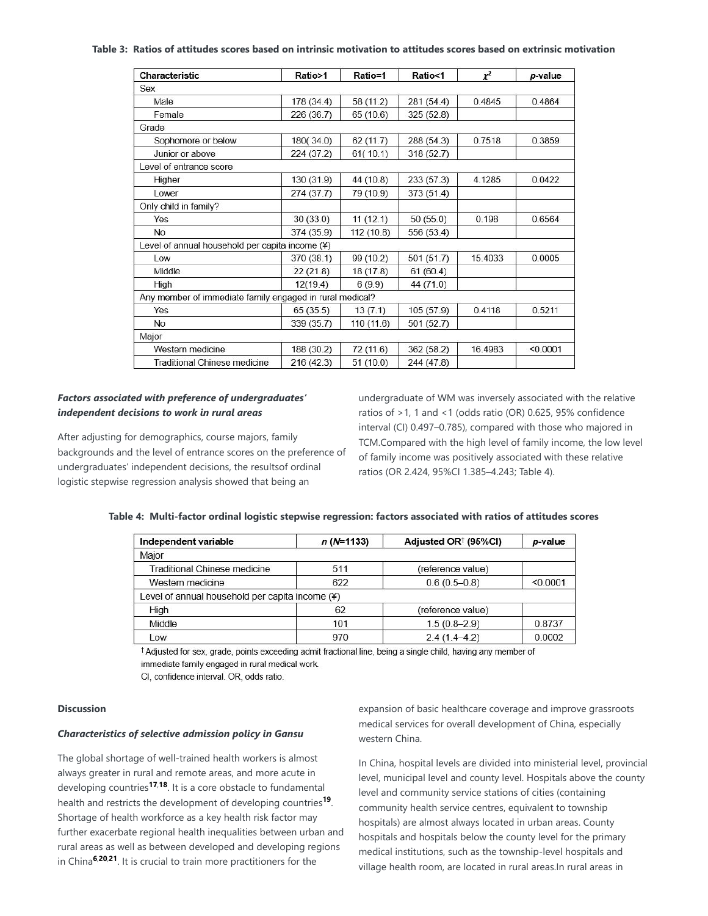#### **Table 3: Ratios of attitudes scores based on intrinsic motivation to attitudes scores based on extrinsic motivation**

| Characteristic                                           | Ratio>1    | Ratio=1    | Ratio<1    | $\chi^2$ | p-value  |
|----------------------------------------------------------|------------|------------|------------|----------|----------|
| Sex                                                      |            |            |            |          |          |
| Male                                                     | 178 (34.4) | 58 (11.2)  | 281 (54.4) | 0.4845   | 0.4864   |
| Female                                                   | 226 (36.7) | 65 (10.6)  | 325(52.8)  |          |          |
| Grade                                                    |            |            |            |          |          |
| Sophomore or below                                       | 180(34.0)  | 62(11.7)   | 288 (54.3) | 0.7518   | 0.3859   |
| Junior or above                                          | 224 (37.2) | 61(10.1)   | 318 (52.7) |          |          |
| Level of entrance score                                  |            |            |            |          |          |
| Higher                                                   | 130 (31.9) | 44 (10.8)  | 233(57.3)  | 4.1285   | 0.0422   |
| <b>Lower</b>                                             | 274 (37.7) | 79 (10.9)  | 373 (51.4) |          |          |
| Only child in family?                                    |            |            |            |          |          |
| Yes                                                      | 30 (33.0)  | 11(12.1)   | 50(55.0)   | 0.198    | 0.6564   |
| <b>No</b>                                                | 374 (35.9) | 112(10.8)  | 556 (53.4) |          |          |
| Level of annual household per capita income (¥)          |            |            |            |          |          |
| Low                                                      | 370 (38.1) | 99 (10.2)  | 501(51.7)  | 15.4033  | 0.0005   |
| Middle                                                   | 22(21.8)   | 18 (17.8)  | 61(60.4)   |          |          |
| High                                                     | 12(19.4)   | 6(9.9)     | 44 (71.0)  |          |          |
| Any member of immediate family engaged in rural medical? |            |            |            |          |          |
| Yes                                                      | 65(35.5)   | 13(7.1)    | 105 (57.9) | 0.4118   | 0.5211   |
| No                                                       | 339 (35.7) | 110 (11.6) | 501(52.7)  |          |          |
| Major                                                    |            |            |            |          |          |
| Western medicine                                         | 188 (30.2) | 72 (11.6)  | 362(58.2)  | 16.4983  | < 0.0001 |
| Traditional Chinese medicine                             | 216 (42.3) | 51(10.0)   | 244 (47.8) |          |          |

## *Factors associated with preference of undergraduates' independent decisions to work in rural areas*

After adjusting for demographics, course majors, family backgrounds and the level of entrance scores on the preference of undergraduates' independent decisions, the resultsof ordinal logistic stepwise regression analysis showed that being an

undergraduate of WM was inversely associated with the relative ratios of >1, 1 and <1 (odds ratio (OR) 0.625, 95% confidence interval (CI) 0.497–0.785), compared with those who majored in TCM.Compared with the high level of family income, the low level of family income was positively associated with these relative ratios (OR 2.424, 95%CI 1.385–4.243; Table 4).

| Independent variable                            | $n(N=1133)$ | Adjusted OR <sup>†</sup> (95%CI) | p-value  |
|-------------------------------------------------|-------------|----------------------------------|----------|
| Major                                           |             |                                  |          |
| Traditional Chinese medicine                    | 511         | (reference value)                |          |
| Western medicine                                | 622         | $0.6(0.5-0.8)$                   | < 0.0001 |
| Level of annual household per capita income (¥) |             |                                  |          |
| High                                            | 62          | (reference value)                |          |
| Middle                                          | 101         | $1.5(0.8-2.9)$                   | 0.8737   |
| Low                                             | 970         | 0.0002<br>$2.4(1.4-4.2)$         |          |

### **Table 4: Multi-factor ordinal logistic stepwise regression: factors associated with ratios of attitudes scores**

\*Adjusted for sex, grade, points exceeding admit fractional line, being a single child, having any member of immediate family engaged in rural medical work.

CI, confidence interval. OR, odds ratio.

#### **Discussion**

#### *Characteristics of selective admission policy in Gansu*

The global shortage of well-trained health workers is almost always greater in rural and remote areas, and more acute in developing countries<sup>17,18</sup>. It is a core obstacle to fundamental health and restricts the development of developing countries<sup>19</sup>. Shortage of health workforce as a key health risk factor may further exacerbate regional health inequalities between urban and rural areas as well as between developed and developing regions in China<sup>6,20,21</sup>. It is crucial to train more practitioners for the

expansion of basic healthcare coverage and improve grassroots medical services for overall development of China, especially western China.

In China, hospital levels are divided into ministerial level, provincial level, municipal level and county level. Hospitals above the county level and community service stations of cities (containing community health service centres, equivalent to township hospitals) are almost always located in urban areas. County hospitals and hospitals below the county level for the primary medical institutions, such as the township-level hospitals and village health room, are located in rural areas.In rural areas in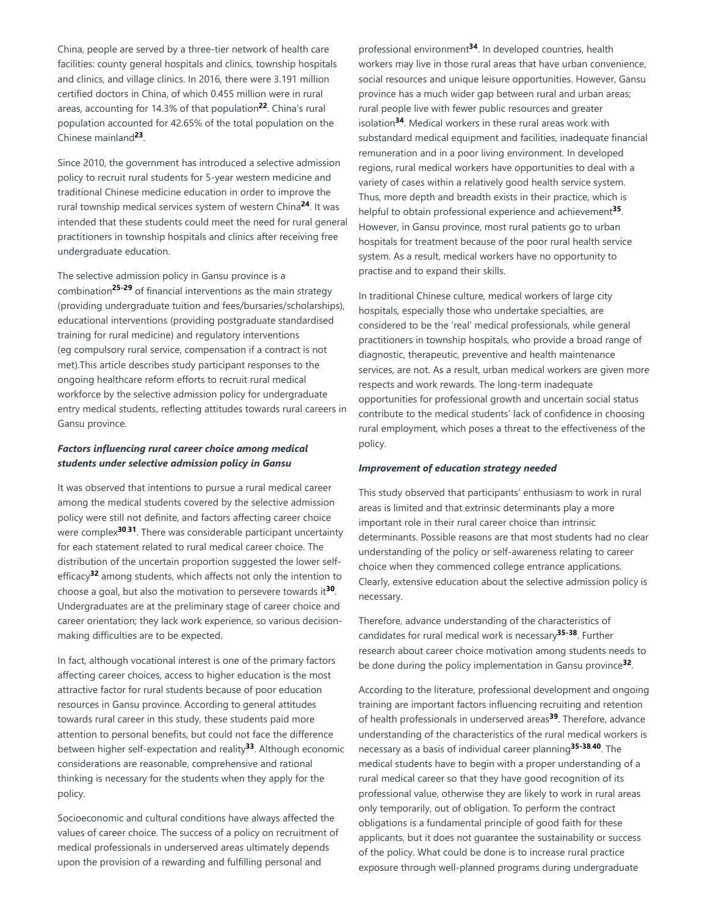China, people are served by a three-tier network of health care facilities: county general hospitals and clinics, township hospitals and clinics, and village clinics. In 2016, there were 3.191 million certified doctors in China, of which 0.455 million were in rural areas, accounting for 14.3% of that population<sup>22</sup>. China's rural population accounted for 42.65% of the total population on the Chinese mainland<sup>23</sup>.

Since 2010, the government has introduced a selective admission policy to recruit rural students for 5-year western medicine and traditional Chinese medicine education in order to improve the rural township medical services system of western China<sup>24</sup>. It was intended that these students could meet the need for rural general practitioners in township hospitals and clinics after receiving free undergraduate education.

The selective admission policy in Gansu province is a combination<sup>25-29</sup> of financial interventions as the main strategy (providing undergraduate tuition and fees/bursaries/scholarships), educational interventions (providing postgraduate standardised training for rural medicine) and regulatory interventions (eg compulsory rural service, compensation if a contract is not met).This article describes study participant responses to the ongoing healthcare reform efforts to recruit rural medical workforce by the selective admission policy for undergraduate entry medical students, reflecting attitudes towards rural careers in Gansu province.

## *Factors influencing rural career choice among medical students under selective admission policy in Gansu*

It was observed that intentions to pursue a rural medical career among the medical students covered by the selective admission policy were still not definite, and factors affecting career choice were complex<sup>30,31</sup>. There was considerable participant uncertainty for each statement related to rural medical career choice. The distribution of the uncertain proportion suggested the lower selfefficacy<sup>32</sup> among students, which affects not only the intention to choose a goal, but also the motivation to persevere towards it<sup>30</sup>. Undergraduates are at the preliminary stage of career choice and career orientation; they lack work experience, so various decisionmaking difficulties are to be expected.

In fact, although vocational interest is one of the primary factors affecting career choices, access to higher education is the most attractive factor for rural students because of poor education resources in Gansu province. According to general attitudes towards rural career in this study, these students paid more attention to personal benefits, but could not face the difference between higher self-expectation and reality<sup>33</sup>. Although economic considerations are reasonable, comprehensive and rational thinking is necessary for the students when they apply for the policy.

Socioeconomic and cultural conditions have always affected the values of career choice. The success of a policy on recruitment of medical professionals in underserved areas ultimately depends upon the provision of a rewarding and fulfilling personal and

professional environment<sup>34</sup>. In developed countries, health workers may live in those rural areas that have urban convenience, social resources and unique leisure opportunities. However, Gansu province has a much wider gap between rural and urban areas; rural people live with fewer public resources and greater isolation<sup>34</sup>. Medical workers in these rural areas work with substandard medical equipment and facilities, inadequate financial remuneration and in a poor living environment. In developed regions, rural medical workers have opportunities to deal with a variety of cases within a relatively good health service system. Thus, more depth and breadth exists in their practice, which is helpful to obtain professional experience and achievement<sup>35</sup>. However, in Gansu province, most rural patients go to urban hospitals for treatment because of the poor rural health service system. As a result, medical workers have no opportunity to practise and to expand their skills.

In traditional Chinese culture, medical workers of large city hospitals, especially those who undertake specialties, are considered to be the 'real' medical professionals, while general practitioners in township hospitals, who provide a broad range of diagnostic, therapeutic, preventive and health maintenance services, are not. As a result, urban medical workers are given more respects and work rewards. The long-term inadequate opportunities for professional growth and uncertain social status contribute to the medical students' lack of confidence in choosing rural employment, which poses a threat to the effectiveness of the policy.

### *Improvement of education strategy needed*

This study observed that participants' enthusiasm to work in rural areas is limited and that extrinsic determinants play a more important role in their rural career choice than intrinsic determinants. Possible reasons are that most students had no clear understanding of the policy or self-awareness relating to career choice when they commenced college entrance applications. Clearly, extensive education about the selective admission policy is necessary.

Therefore, advance understanding of the characteristics of candidates for rural medical work is necessary<sup>35-38</sup>. Further research about career choice motivation among students needs to be done during the policy implementation in Gansu province<sup>32</sup>.

According to the literature, professional development and ongoing training are important factors influencing recruiting and retention of health professionals in underserved areas<sup>39</sup>. Therefore, advance understanding of the characteristics of the rural medical workers is necessary as a basis of individual career planning<sup>35-38,40</sup>. The medical students have to begin with a proper understanding of a rural medical career so that they have good recognition of its professional value, otherwise they are likely to work in rural areas only temporarily, out of obligation. To perform the contract obligations is a fundamental principle of good faith for these applicants, but it does not guarantee the sustainability or success of the policy. What could be done is to increase rural practice exposure through well-planned programs during undergraduate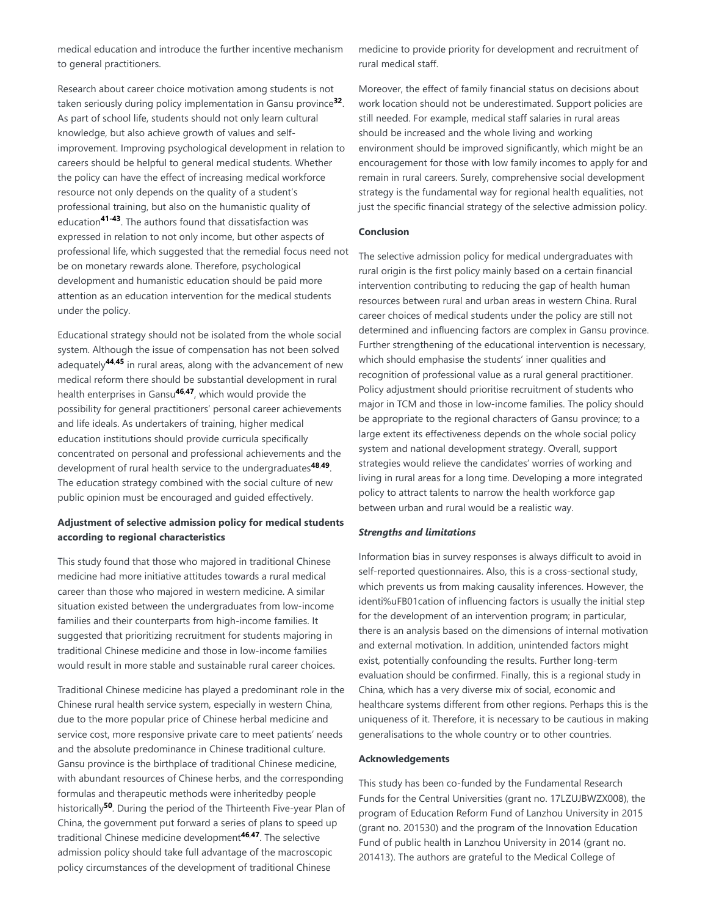medical education and introduce the further incentive mechanism to general practitioners.

Research about career choice motivation among students is not taken seriously during policy implementation in Gansu province<sup>32</sup>. As part of school life, students should not only learn cultural knowledge, but also achieve growth of values and selfimprovement. Improving psychological development in relation to careers should be helpful to general medical students. Whether the policy can have the effect of increasing medical workforce resource not only depends on the quality of a student's professional training, but also on the humanistic quality of education<sup>41-43</sup>. The authors found that dissatisfaction was expressed in relation to not only income, but other aspects of professional life, which suggested that the remedial focus need not be on monetary rewards alone. Therefore, psychological development and humanistic education should be paid more attention as an education intervention for the medical students under the policy.

Educational strategy should not be isolated from the whole social system. Although the issue of compensation has not been solved adequately<sup>44,45</sup> in rural areas, along with the advancement of new medical reform there should be substantial development in rural health enterprises in Gansu<sup>46,47</sup>, which would provide the possibility for general practitioners' personal career achievements and life ideals. As undertakers of training, higher medical education institutions should provide curricula specifically concentrated on personal and professional achievements and the development of rural health service to the undergraduates<sup>48,49</sup>. The education strategy combined with the social culture of new public opinion must be encouraged and guided effectively.

## **Adjustment of selective admission policy for medical students according to regional characteristics**

This study found that those who majored in traditional Chinese medicine had more initiative attitudes towards a rural medical career than those who majored in western medicine. A similar situation existed between the undergraduates from low-income families and their counterparts from high-income families. It suggested that prioritizing recruitment for students majoring in traditional Chinese medicine and those in low-income families would result in more stable and sustainable rural career choices.

Traditional Chinese medicine has played a predominant role in the Chinese rural health service system, especially in western China, due to the more popular price of Chinese herbal medicine and service cost, more responsive private care to meet patients' needs and the absolute predominance in Chinese traditional culture. Gansu province is the birthplace of traditional Chinese medicine, with abundant resources of Chinese herbs, and the corresponding formulas and therapeutic methods were inheritedby people historically<sup>50</sup>. During the period of the Thirteenth Five-year Plan of China, the government put forward a series of plans to speed up traditional Chinese medicine development<sup>46,47</sup>. The selective admission policy should take full advantage of the macroscopic policy circumstances of the development of traditional Chinese

medicine to provide priority for development and recruitment of rural medical staff.

Moreover, the effect of family financial status on decisions about work location should not be underestimated. Support policies are still needed. For example, medical staff salaries in rural areas should be increased and the whole living and working environment should be improved significantly, which might be an encouragement for those with low family incomes to apply for and remain in rural careers. Surely, comprehensive social development strategy is the fundamental way for regional health equalities, not just the specific financial strategy of the selective admission policy.

## **Conclusion**

The selective admission policy for medical undergraduates with rural origin is the first policy mainly based on a certain financial intervention contributing to reducing the gap of health human resources between rural and urban areas in western China. Rural career choices of medical students under the policy are still not determined and influencing factors are complex in Gansu province. Further strengthening of the educational intervention is necessary, which should emphasise the students' inner qualities and recognition of professional value as a rural general practitioner. Policy adjustment should prioritise recruitment of students who major in TCM and those in low-income families. The policy should be appropriate to the regional characters of Gansu province; to a large extent its effectiveness depends on the whole social policy system and national development strategy. Overall, support strategies would relieve the candidates' worries of working and living in rural areas for a long time. Developing a more integrated policy to attract talents to narrow the health workforce gap between urban and rural would be a realistic way.

### *Strengths and limitations*

Information bias in survey responses is always difficult to avoid in self-reported questionnaires. Also, this is a cross-sectional study, which prevents us from making causality inferences. However, the identi%uFB01cation of influencing factors is usually the initial step for the development of an intervention program; in particular, there is an analysis based on the dimensions of internal motivation and external motivation. In addition, unintended factors might exist, potentially confounding the results. Further long-term evaluation should be confirmed. Finally, this is a regional study in China, which has a very diverse mix of social, economic and healthcare systems different from other regions. Perhaps this is the uniqueness of it. Therefore, it is necessary to be cautious in making generalisations to the whole country or to other countries.

#### **Acknowledgements**

This study has been co-funded by the Fundamental Research Funds for the Central Universities (grant no. 17LZUJBWZX008), the program of Education Reform Fund of Lanzhou University in 2015 (grant no. 201530) and the program of the Innovation Education Fund of public health in Lanzhou University in 2014 (grant no. 201413). The authors are grateful to the Medical College of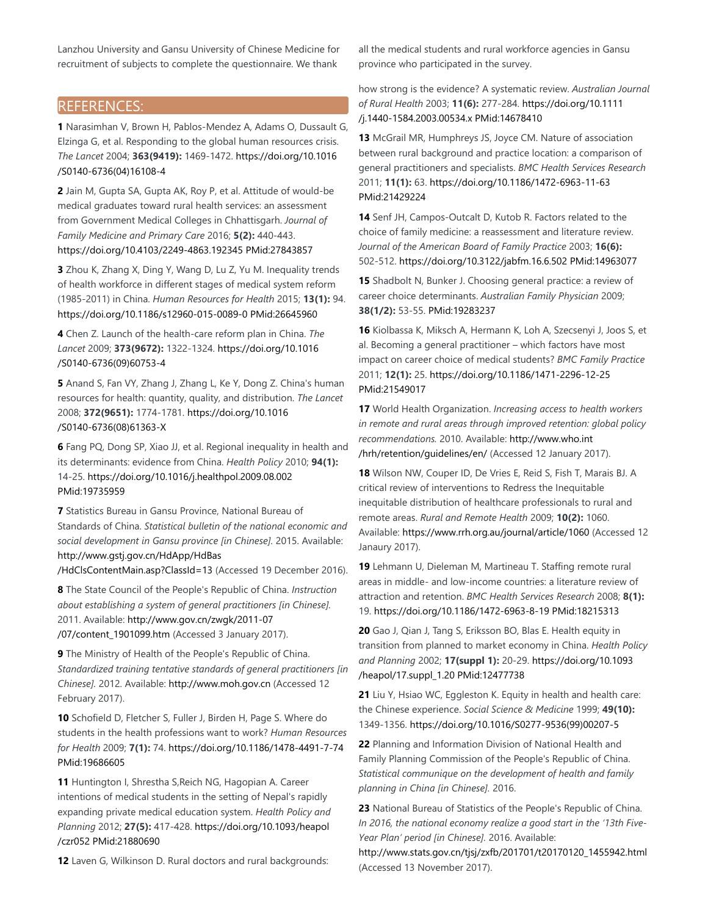Lanzhou University and Gansu University of Chinese Medicine for recruitment of subjects to complete the questionnaire. We thank

## REFERENCES:

**1** Narasimhan V, Brown H, Pablos-Mendez A, Adams O, Dussault G, Elzinga G, et al. Responding to the global human resources crisis. *The Lancet* 2004; **363(9419):** 1469-1472. https://doi.org/10.1016 /S0140-6736(04)16108-4

**2** Jain M, Gupta SA, Gupta AK, Roy P, et al. Attitude of would-be medical graduates toward rural health services: an assessment from Government Medical Colleges in Chhattisgarh. *Journal of Family Medicine and Primary Care* 2016; **5(2):** 440-443. https://doi.org/10.4103/2249-4863.192345 PMid:27843857

**3** Zhou K, Zhang X, Ding Y, Wang D, Lu Z, Yu M. Inequality trends of health workforce in different stages of medical system reform (1985-2011) in China. *Human Resources for Health* 2015; **13(1):** 94. https://doi.org/10.1186/s12960-015-0089-0 PMid:26645960

**4** Chen Z. Launch of the health-care reform plan in China. *The Lancet* 2009; **373(9672):** 1322-1324. https://doi.org/10.1016 /S0140-6736(09)60753-4

**5** Anand S, Fan VY, Zhang J, Zhang L, Ke Y, Dong Z. China's human resources for health: quantity, quality, and distribution. *The Lancet* 2008; **372(9651):** 1774-1781. https://doi.org/10.1016 /S0140-6736(08)61363-X

**6** Fang PQ, Dong SP, Xiao JJ, et al. Regional inequality in health and its determinants: evidence from China. *Health Policy* 2010; **94(1):** 14-25. https://doi.org/10.1016/j.healthpol.2009.08.002 PMid:19735959

**7** Statistics Bureau in Gansu Province, National Bureau of Standards of China. *Statistical bulletin of the national economic and social development in Gansu province [in Chinese].* 2015. Available: http://www.gstj.gov.cn/HdApp/HdBas

/HdClsContentMain.asp?ClassId=13 (Accessed 19 December 2016).

**8** The State Council of the People's Republic of China. *Instruction about establishing a system of general practitioners [in Chinese].* 2011. Available: http://www.gov.cn/zwgk/2011-07 /07/content\_1901099.htm (Accessed 3 January 2017).

**9** The Ministry of Health of the People's Republic of China. *Standardized training tentative standards of general practitioners [in Chinese].* 2012. Available: http://www.moh.gov.cn (Accessed 12 February 2017).

**10** Schofield D, Fletcher S, Fuller J, Birden H, Page S. Where do students in the health professions want to work? *Human Resources for Health* 2009; **7(1):** 74. https://doi.org/10.1186/1478-4491-7-74 PMid:19686605

**11** Huntington I, Shrestha S,Reich NG, Hagopian A. Career intentions of medical students in the setting of Nepal's rapidly expanding private medical education system. *Health Policy and Planning* 2012; **27(5):** 417-428. https://doi.org/10.1093/heapol /czr052 PMid:21880690

**12** Laven G, Wilkinson D. Rural doctors and rural backgrounds:

all the medical students and rural workforce agencies in Gansu province who participated in the survey.

how strong is the evidence? A systematic review. *Australian Journal of Rural Health* 2003; **11(6):** 277-284. https://doi.org/10.1111 /j.1440-1584.2003.00534.x PMid:14678410

**13** McGrail MR, Humphreys JS, Joyce CM. Nature of association between rural background and practice location: a comparison of general practitioners and specialists. *BMC Health Services Research* 2011; **11(1):** 63. https://doi.org/10.1186/1472-6963-11-63 PMid:21429224

**14** Senf JH, Campos-Outcalt D, Kutob R. Factors related to the choice of family medicine: a reassessment and literature review. *Journal of the American Board of Family Practice* 2003; **16(6):** 502-512. https://doi.org/10.3122/jabfm.16.6.502 PMid:14963077

**15** Shadbolt N, Bunker J. Choosing general practice: a review of career choice determinants. *Australian Family Physician* 2009; **38(1/2):** 53-55. PMid:19283237

**16** Kiolbassa K, Miksch A, Hermann K, Loh A, Szecsenyi J, Joos S, et al. Becoming a general practitioner – which factors have most impact on career choice of medical students? *BMC Family Practice* 2011; **12(1):** 25. https://doi.org/10.1186/1471-2296-12-25 PMid:21549017

**17** World Health Organization. *Increasing access to health workers in remote and rural areas through improved retention: global policy recommendations.* 2010. Available: http://www.who.int /hrh/retention/guidelines/en/ (Accessed 12 January 2017).

**18** Wilson NW, Couper ID, De Vries E, Reid S, Fish T, Marais BJ. A critical review of interventions to Redress the Inequitable inequitable distribution of healthcare professionals to rural and remote areas. *Rural and Remote Health* 2009; **10(2):** 1060. Available: https://www.rrh.org.au/journal/article/1060 (Accessed 12 Janaury 2017).

**19** Lehmann U, Dieleman M, Martineau T. Staffing remote rural areas in middle- and low-income countries: a literature review of attraction and retention. *BMC Health Services Research* 2008; **8(1):** 19. https://doi.org/10.1186/1472-6963-8-19 PMid:18215313

**20** Gao J, Qian J, Tang S, Eriksson BO, Blas E. Health equity in transition from planned to market economy in China. *Health Policy and Planning* 2002; **17(suppl 1):** 20-29. https://doi.org/10.1093 /heapol/17.suppl\_1.20 PMid:12477738

**21** Liu Y, Hsiao WC, Eggleston K. Equity in health and health care: the Chinese experience. *Social Science & Medicine* 1999; **49(10):** 1349-1356. https://doi.org/10.1016/S0277-9536(99)00207-5

**22** Planning and Information Division of National Health and Family Planning Commission of the People's Republic of China. *Statistical communique on the development of health and family planning in China [in Chinese].* 2016.

**23** National Bureau of Statistics of the People's Republic of China. *In 2016, the national economy realize a good start in the '13th Five-Year Plan' period [in Chinese].* 2016. Available:

http://www.stats.gov.cn/tjsj/zxfb/201701/t20170120\_1455942.html (Accessed 13 November 2017).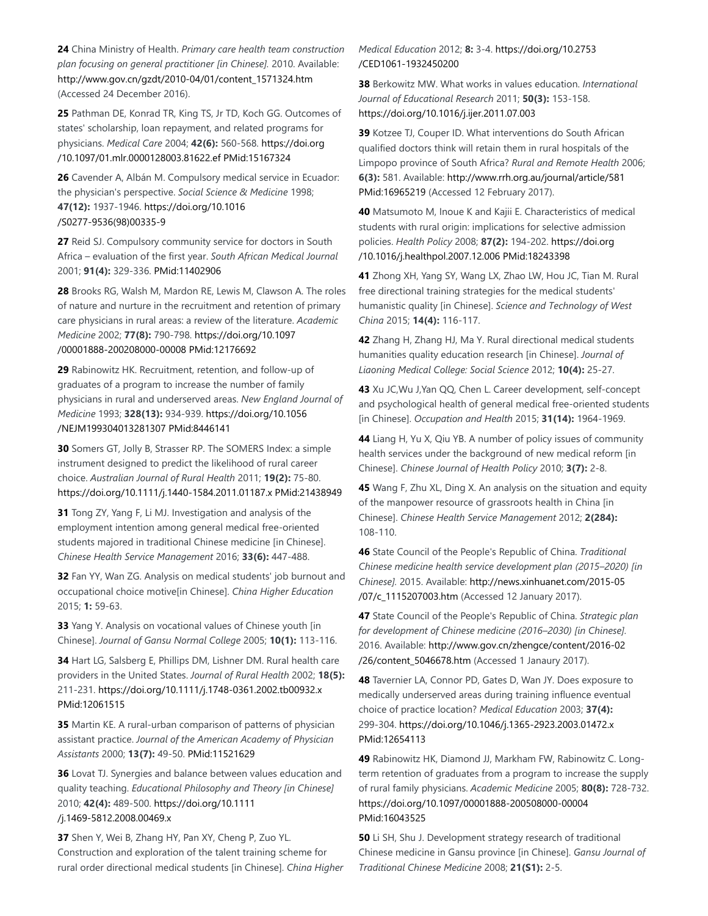**24** China Ministry of Health. *Primary care health team construction plan focusing on general practitioner [in Chinese].* 2010. Available: http://www.gov.cn/gzdt/2010-04/01/content\_1571324.htm (Accessed 24 December 2016).

**25** Pathman DE, Konrad TR, King TS, Jr TD, Koch GG. Outcomes of states' scholarship, loan repayment, and related programs for physicians. *Medical Care* 2004; **42(6):** 560-568. https://doi.org /10.1097/01.mlr.0000128003.81622.ef PMid:15167324

**26** Cavender A, Albán M. Compulsory medical service in Ecuador: the physician's perspective. *Social Science & Medicine* 1998; **47(12):** 1937-1946. https://doi.org/10.1016 /S0277-9536(98)00335-9

**27** Reid SJ. Compulsory community service for doctors in South Africa – evaluation of the first year. *South African Medical Journal* 2001; **91(4):** 329-336. PMid:11402906

**28** Brooks RG, Walsh M, Mardon RE, Lewis M, Clawson A. The roles of nature and nurture in the recruitment and retention of primary care physicians in rural areas: a review of the literature. *Academic Medicine* 2002; **77(8):** 790-798. https://doi.org/10.1097 /00001888-200208000-00008 PMid:12176692

**29** Rabinowitz HK. Recruitment, retention, and follow-up of graduates of a program to increase the number of family physicians in rural and underserved areas. *New England Journal of Medicine* 1993; **328(13):** 934-939. https://doi.org/10.1056 /NEJM199304013281307 PMid:8446141

**30** Somers GT, Jolly B, Strasser RP. The SOMERS Index: a simple instrument designed to predict the likelihood of rural career choice. *Australian Journal of Rural Health* 2011; **19(2):** 75-80. https://doi.org/10.1111/j.1440-1584.2011.01187.x PMid:21438949

**31** Tong ZY, Yang F, Li MJ. Investigation and analysis of the employment intention among general medical free-oriented students majored in traditional Chinese medicine [in Chinese]. *Chinese Health Service Management* 2016; **33(6):** 447-488.

**32** Fan YY, Wan ZG. Analysis on medical students' job burnout and occupational choice motive[in Chinese]. *China Higher Education* 2015; **1:** 59-63.

**33** Yang Y. Analysis on vocational values of Chinese youth [in Chinese]. *Journal of Gansu Normal College* 2005; **10(1):** 113-116.

**34** Hart LG, Salsberg E, Phillips DM, Lishner DM. Rural health care providers in the United States. *Journal of Rural Health* 2002; **18(5):** 211-231. https://doi.org/10.1111/j.1748-0361.2002.tb00932.x PMid:12061515

**35** Martin KE. A rural-urban comparison of patterns of physician assistant practice. *Journal of the American Academy of Physician Assistants* 2000; **13(7):** 49-50. PMid:11521629

**36** Lovat TJ. Synergies and balance between values education and quality teaching. *Educational Philosophy and Theory [in Chinese]* 2010; **42(4):** 489-500. https://doi.org/10.1111 /j.1469-5812.2008.00469.x

**37** Shen Y, Wei B, Zhang HY, Pan XY, Cheng P, Zuo YL. Construction and exploration of the talent training scheme for rural order directional medical students [in Chinese]. *China Higher* *Medical Education* 2012; **8:** 3-4. https://doi.org/10.2753 /CED1061-1932450200

**38** Berkowitz MW. What works in values education. *International Journal of Educational Research* 2011; **50(3):** 153-158. https://doi.org/10.1016/j.ijer.2011.07.003

**39** Kotzee TJ, Couper ID. What interventions do South African qualified doctors think will retain them in rural hospitals of the Limpopo province of South Africa? *Rural and Remote Health* 2006; **6(3):** 581. Available: http://www.rrh.org.au/journal/article/581 PMid:16965219 (Accessed 12 February 2017).

**40** Matsumoto M, Inoue K and Kajii E. Characteristics of medical students with rural origin: implications for selective admission policies. *Health Policy* 2008; **87(2):** 194-202. https://doi.org /10.1016/j.healthpol.2007.12.006 PMid:18243398

**41** Zhong XH, Yang SY, Wang LX, Zhao LW, Hou JC, Tian M. Rural free directional training strategies for the medical students' humanistic quality [in Chinese]. *Science and Technology of West China* 2015; **14(4):** 116-117.

**42** Zhang H, Zhang HJ, Ma Y. Rural directional medical students humanities quality education research [in Chinese]. *Journal of Liaoning Medical College: Social Science* 2012; **10(4):** 25-27.

**43** Xu JC,Wu J,Yan QQ, Chen L. Career development, self-concept and psychological health of general medical free-oriented students [in Chinese]. *Occupation and Health* 2015; **31(14):** 1964-1969.

**44** Liang H, Yu X, Qiu YB. A number of policy issues of community health services under the background of new medical reform [in Chinese]. *Chinese Journal of Health Policy* 2010; **3(7):** 2-8.

**45** Wang F, Zhu XL, Ding X. An analysis on the situation and equity of the manpower resource of grassroots health in China [in Chinese]. *Chinese Health Service Management* 2012; **2(284):** 108-110.

**46** State Council of the People's Republic of China. *Traditional Chinese medicine health service development plan (2015–2020) [in Chinese].* 2015. Available: http://news.xinhuanet.com/2015-05 /07/c\_1115207003.htm (Accessed 12 January 2017).

**47** State Council of the People's Republic of China. *Strategic plan for development of Chinese medicine (2016–2030) [in Chinese].* 2016. Available: http://www.gov.cn/zhengce/content/2016-02 /26/content\_5046678.htm (Accessed 1 Janaury 2017).

**48** Tavernier LA, Connor PD, Gates D, Wan JY. Does exposure to medically underserved areas during training influence eventual choice of practice location? *Medical Education* 2003; **37(4):** 299-304. https://doi.org/10.1046/j.1365-2923.2003.01472.x PMid:12654113

**49** Rabinowitz HK, Diamond JJ, Markham FW, Rabinowitz C. Longterm retention of graduates from a program to increase the supply of rural family physicians. *Academic Medicine* 2005; **80(8):** 728-732. https://doi.org/10.1097/00001888-200508000-00004 PMid:16043525

**50** Li SH, Shu J. Development strategy research of traditional Chinese medicine in Gansu province [in Chinese]. *Gansu Journal of Traditional Chinese Medicine* 2008; **21(S1):** 2-5.